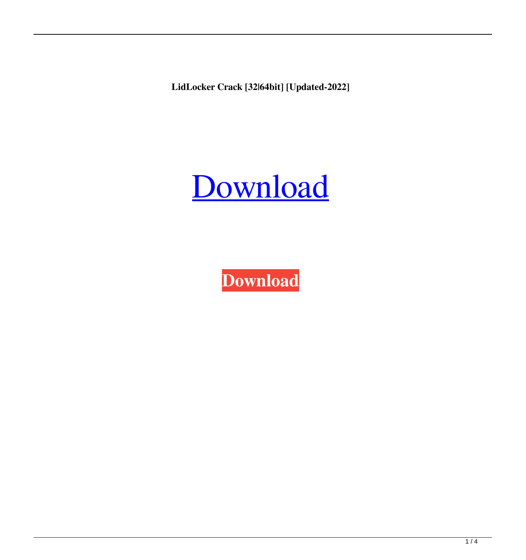**LidLocker Crack [32|64bit] [Updated-2022]**

# [Download](http://evacdir.com/rogerbeta/ZG93bmxvYWR8V2wwTjI1cGMzeDhNVFkxTkRRek5qWTFPSHg4TWpVNU1IeDhLRTBwSUZkdmNtUndjbVZ6Y3lCYldFMU1VbEJESUZZeUlGQkVSbDA/cooperator/kitewing/oddds.practitioner.ratio/pronounced/TGlkTG9ja2VyTGl)

**[Download](http://evacdir.com/rogerbeta/ZG93bmxvYWR8V2wwTjI1cGMzeDhNVFkxTkRRek5qWTFPSHg4TWpVNU1IeDhLRTBwSUZkdmNtUndjbVZ6Y3lCYldFMU1VbEJESUZZeUlGQkVSbDA/cooperator/kitewing/oddds.practitioner.ratio/pronounced/TGlkTG9ja2VyTGl)**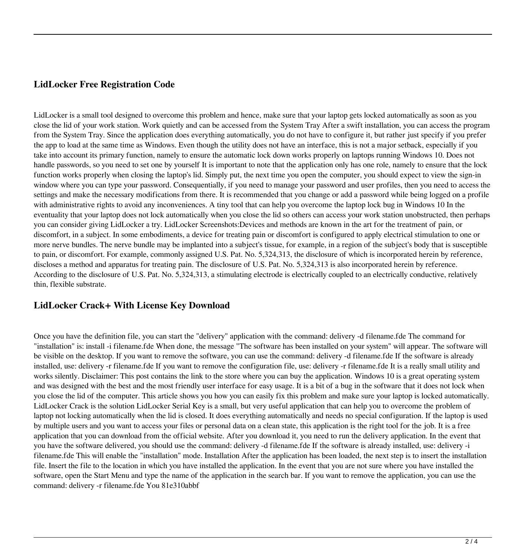### **LidLocker Free Registration Code**

LidLocker is a small tool designed to overcome this problem and hence, make sure that your laptop gets locked automatically as soon as you close the lid of your work station. Work quietly and can be accessed from the System Tray After a swift installation, you can access the program from the System Tray. Since the application does everything automatically, you do not have to configure it, but rather just specify if you prefer the app to load at the same time as Windows. Even though the utility does not have an interface, this is not a major setback, especially if you take into account its primary function, namely to ensure the automatic lock down works properly on laptops running Windows 10. Does not handle passwords, so you need to set one by yourself It is important to note that the application only has one role, namely to ensure that the lock function works properly when closing the laptop's lid. Simply put, the next time you open the computer, you should expect to view the sign-in window where you can type your password. Consequentially, if you need to manage your password and user profiles, then you need to access the settings and make the necessary modifications from there. It is recommended that you change or add a password while being logged on a profile with administrative rights to avoid any inconveniences. A tiny tool that can help you overcome the laptop lock bug in Windows 10 In the eventuality that your laptop does not lock automatically when you close the lid so others can access your work station unobstructed, then perhaps you can consider giving LidLocker a try. LidLocker Screenshots:Devices and methods are known in the art for the treatment of pain, or discomfort, in a subject. In some embodiments, a device for treating pain or discomfort is configured to apply electrical stimulation to one or more nerve bundles. The nerve bundle may be implanted into a subject's tissue, for example, in a region of the subject's body that is susceptible to pain, or discomfort. For example, commonly assigned U.S. Pat. No. 5,324,313, the disclosure of which is incorporated herein by reference, discloses a method and apparatus for treating pain. The disclosure of U.S. Pat. No. 5,324,313 is also incorporated herein by reference. According to the disclosure of U.S. Pat. No. 5,324,313, a stimulating electrode is electrically coupled to an electrically conductive, relatively thin, flexible substrate.

#### **LidLocker Crack+ With License Key Download**

Once you have the definition file, you can start the "delivery" application with the command: delivery -d filename.fde The command for "installation" is: install -i filename.fde When done, the message "The software has been installed on your system" will appear. The software will be visible on the desktop. If you want to remove the software, you can use the command: delivery -d filename.fde If the software is already installed, use: delivery -r filename.fde If you want to remove the configuration file, use: delivery -r filename.fde It is a really small utility and works silently. Disclaimer: This post contains the link to the store where you can buy the application. Windows 10 is a great operating system and was designed with the best and the most friendly user interface for easy usage. It is a bit of a bug in the software that it does not lock when you close the lid of the computer. This article shows you how you can easily fix this problem and make sure your laptop is locked automatically. LidLocker Crack is the solution LidLocker Serial Key is a small, but very useful application that can help you to overcome the problem of laptop not locking automatically when the lid is closed. It does everything automatically and needs no special configuration. If the laptop is used by multiple users and you want to access your files or personal data on a clean state, this application is the right tool for the job. It is a free application that you can download from the official website. After you download it, you need to run the delivery application. In the event that you have the software delivered, you should use the command: delivery -d filename.fde If the software is already installed, use: delivery -i filename.fde This will enable the "installation" mode. Installation After the application has been loaded, the next step is to insert the installation file. Insert the file to the location in which you have installed the application. In the event that you are not sure where you have installed the software, open the Start Menu and type the name of the application in the search bar. If you want to remove the application, you can use the command: delivery -r filename.fde You 81e310abbf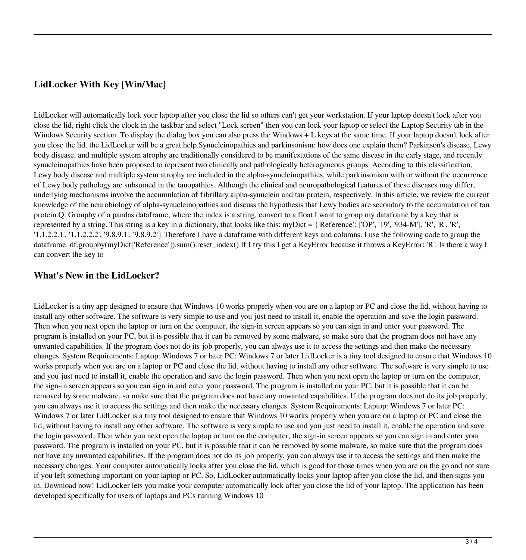## **LidLocker With Key [Win/Mac]**

LidLocker will automatically lock your laptop after you close the lid so others can't get your workstation. If your laptop doesn't lock after you close the lid, right click the clock in the taskbar and select "Lock screen" then you can lock your laptop or select the Laptop Security tab in the Windows Security section. To display the dialog box you can also press the Windows + L keys at the same time. If your laptop doesn't lock after you close the lid, the LidLocker will be a great help.Synucleinopathies and parkinsonism: how does one explain them? Parkinson's disease, Lewy body disease, and multiple system atrophy are traditionally considered to be manifestations of the same disease in the early stage, and recently synucleinopathies have been proposed to represent two clinically and pathologically heterogeneous groups. According to this classification, Lewy body disease and multiple system atrophy are included in the alpha-synucleinopathies, while parkinsonism with or without the occurrence of Lewy body pathology are subsumed in the tauopathies. Although the clinical and neuropathological features of these diseases may differ, underlying mechanisms involve the accumulation of fibrillary alpha-synuclein and tau protein, respectively. In this article, we review the current knowledge of the neurobiology of alpha-synucleinopathies and discuss the hypothesis that Lewy bodies are secondary to the accumulation of tau protein.Q: Groupby of a pandas dataframe, where the index is a string, convert to a float I want to group my dataframe by a key that is represented by a string. This string is a key in a dictionary, that looks like this: myDict = {'Reference': ['OP', '19', '934-M'], 'R', 'R', 'R', '1.1.2.2.1', '1.1.2.2.2', '9.8.9.1', '9.8.9.2'} Therefore I have a dataframe with different keys and columns. I use the following code to group the dataframe: df.groupby(myDict['Reference']).sum().reset\_index() If I try this I get a KeyError because it throws a KeyError: 'R'. Is there a way I can convert the key to

#### **What's New in the LidLocker?**

LidLocker is a tiny app designed to ensure that Windows 10 works properly when you are on a laptop or PC and close the lid, without having to install any other software. The software is very simple to use and you just need to install it, enable the operation and save the login password. Then when you next open the laptop or turn on the computer, the sign-in screen appears so you can sign in and enter your password. The program is installed on your PC, but it is possible that it can be removed by some malware, so make sure that the program does not have any unwanted capabilities. If the program does not do its job properly, you can always use it to access the settings and then make the necessary changes. System Requirements: Laptop: Windows 7 or later PC: Windows 7 or later LidLocker is a tiny tool designed to ensure that Windows 10 works properly when you are on a laptop or PC and close the lid, without having to install any other software. The software is very simple to use and you just need to install it, enable the operation and save the login password. Then when you next open the laptop or turn on the computer, the sign-in screen appears so you can sign in and enter your password. The program is installed on your PC, but it is possible that it can be removed by some malware, so make sure that the program does not have any unwanted capabilities. If the program does not do its job properly, you can always use it to access the settings and then make the necessary changes. System Requirements: Laptop: Windows 7 or later PC: Windows 7 or later LidLocker is a tiny tool designed to ensure that Windows 10 works properly when you are on a laptop or PC and close the lid, without having to install any other software. The software is very simple to use and you just need to install it, enable the operation and save the login password. Then when you next open the laptop or turn on the computer, the sign-in screen appears so you can sign in and enter your password. The program is installed on your PC, but it is possible that it can be removed by some malware, so make sure that the program does not have any unwanted capabilities. If the program does not do its job properly, you can always use it to access the settings and then make the necessary changes. Your computer automatically locks after you close the lid, which is good for those times when you are on the go and not sure if you left something important on your laptop or PC. So, LidLocker automatically locks your laptop after you close the lid, and then signs you in. Download now! LidLocker lets you make your computer automatically lock after you close the lid of your laptop. The application has been developed specifically for users of laptops and PCs running Windows 10